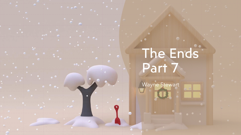## The Ends Part 7

Wayne Stewart

 $-$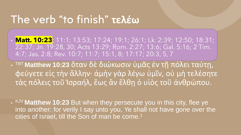#### The verb "to finish" **τελέω**

- **Matt. 10:23**; 11:1; 13:53; 17:24; 19:1; 26:1; Lk. 2:39; 12:50; 18:31; 22:37; Jn. 19:28, 30; Acts 13:29; Rom. 2:27; 13:6; Gal. 5:16; 2 Tim. 4:7; Jas. 2:8; Rev. 10:7; 11:7; 15:1, 8; 17:17; 20:3, 5, 7
- TBT **Matthew 10:23** ὅταν δὲ διώκωσιν ὑμᾶς ἐν τῇ πόλει ταύτῃ, φεύγετε εἰς τὴν ἄλλην· ἀμὴν γὰρ λέγω ὑμῖν, οὐ μὴ τελέσητε τὰς πόλεις τοῦ Ἰσραήλ, ἕως ἂν ἔλθῃ ὁ υἱὸς τοῦ ἀνθρώπου.
- KJV **Matthew 10:23** But when they persecute you in this city, flee ye into another: for verily I say unto you, Ye shall not have gone over the cities of Israel, till the Son of man be come.<sup>1</sup>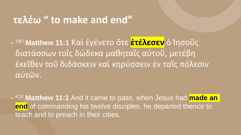#### **τελέω " to make and end"**

• TBT **Matthew 11:1** Καὶ ἐγένετο ὅτε **ἐτέλεσεν** ὁ Ἰησοῦς διατάσσων τοῖς δώδεκα μαθηταῖς αὐτοῦ, μετέβη ἐκεῖθεν τοῦ διδάσκειν καὶ κηρύσσειν ἐν ταῖς πόλεσιν αὐτῶν.

• KJV **Matthew 11:1** And it came to pass, when Jesus had **made an end** of commanding his twelve disciples, he departed thence to teach and to preach in their cities.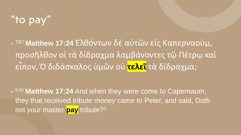## "to pay"

• TBT **Matthew 17:24** Ἐλθόντων δὲ αὐτῶν εἰς Καπερναούμ, προσῆλθον οἱ τὰ δίδραχμα λαμβάνοντες τῷ Πέτρῳ καὶ εἶπον, Ὁ διδάσκαλος ὑμῶν οὐ **τελεῖ** τὰ δίδραχμα;

• KJV **Matthew 17:24** And when they were come to Capernaum, they that received tribute *money* came to Peter, and said, Doth not your master **pay** tribute?<sup>1</sup>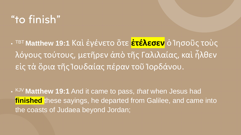#### "to finish"

• TBT **Matthew 19:1** Καὶ ἐγένετο ὅτε **ἐτέλεσεν** ὁ Ἰησοῦς τοὺς λόγους τούτους, μετῆρεν ἀπὸ τῆς Γαλιλαίας, καὶ ἦλθεν εἰς τὰ ὅρια τῆς Ἰουδαίας πέραν τοῦ Ἰορδάνου.

• KJV **Matthew 19:1** And it came to pass, *that* when Jesus had **finished** these sayings, he departed from Galilee, and came into the coasts of Judaea beyond Jordan;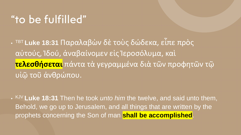#### "to be fulfilled"

• TBT **Luke 18:31** Παραλαβὼν δὲ τοὺς δώδεκα, εἶπε πρὸς αὐτούς, Ἰδού, ἀναβαίνομεν εἰς Ἱεροσόλυμα, καὶ **τελεσθήσεται** πάντα τὰ γεγραμμένα διὰ τῶν προφητῶν τῷ υἱῷ τοῦ ἀνθρώπου.

• KJV **Luke 18:31** Then he took *unto him* the twelve, and said unto them, Behold, we go up to Jerusalem, and all things that are written by the prophets concerning the Son of man **shall be accomplished**.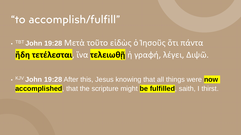#### "to accomplish/fulfill"

• TBT **John 19:28** Μετὰ τοῦτο εἰδὼς ὁ Ἰησοῦς ὅτι πάντα **ἤδη τετέλεσται**, ἵνα **τελειωθῇ** ἡ γραφή, λέγει, Διψῶ.

• KJV **John 19:28** After this, Jesus knowing that all things were **now accomplished**, that the scripture might **be fulfilled**, saith, I thirst.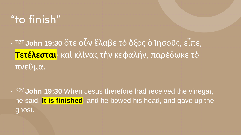#### "to finish"

• TBT **John 19:30** ὅτε οὖν ἔλαβε τὸ ὄξος ὁ Ἰησοῦς, εἶπε, **Τετέλεσται**· καὶ κλίνας τὴν κεφαλήν, παρέδωκε τὸ πνεῦμα.

• KJV **John 19:30** When Jesus therefore had received the vinegar, he said, **It is finished**: and he bowed his head, and gave up the ghost.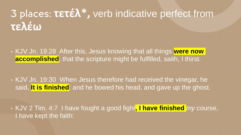## 3 places: **τετέλ\* ,** verb indicative perfect from **τελέω**

- KJV Jn. 19:28 After this, Jesus knowing that all things **were now accomplished**, that the scripture might be fulfilled, saith, I thirst.
- KJV Jn. 19:30 When Jesus therefore had received the vinegar, he said, **It is finished**: and he bowed his head, and gave up the ghost.
- KJV 2 Tim. 4:7 I have fought a good fight**, I have finished** *my* course, I have kept the faith: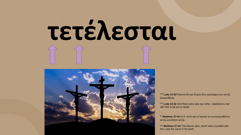# **τετέλεσται**



TBT **Luke 23:32** Ἤγοντο δὲ καὶ ἕτεροι δύο κακοῦργοι σὺν αὐτῷ ἀναιρεθῆναι.

KJV **Luke 23:32** And there were also two other, malefactors, led with him to be put to death.

BT **Matthew 27:44** τὸ δ᾽ αὐτὸ καὶ οἱ λῃσταὶ οἱ συσταυρωθέντες αὐτῷ ὠνείδιζον αὐτῷ.

KJV Matthew 27:44 The thieves also, which were crucified with him, cast the same in his teeth.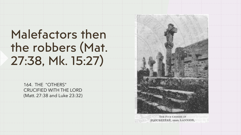## Malefactors then the robbers (Mat. 27:38, Mk. 15:27)

164. THE "OTHERS" CRUCIFIED WITH THE LORD (Matt. 27:38 and Luke 23:32)



THE FIVE CROSSES AT PLOUBÉZÉRÉ, NEAR LANNION,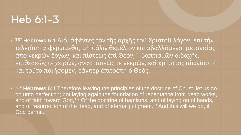#### Heb 6:1-3

- TBT **Hebrews 6:1** Διό, ἀφέντες τὸν τῆς ἀρχῆς τοῦ Χριστοῦ λόγον, ἐπὶ τὴν τελειότητα φερώμεθα, μὴ πάλιν θεμέλιον καταβαλλόμενοι μετανοίας ἀπὸ νεκρῶν ἔργων, καὶ πίστεως ἐπὶ Θεόν, 2 βαπτισμῶν διδαχῆς, ἐπιθέσεώς τε χειρῶν, ἀναστάσεώς τε νεκρῶν, καὶ κρίματος αἰωνίου. <sup>3</sup> καὶ τοῦτο ποιήσομεν, ἐάνπερ ἐπιτρέπῃ ὁ Θεός.
- KJV Hebrews 6:1 Therefore leaving the principles of the doctrine of Christ, let us go on unto perfection; not laying again the foundation of repentance from dead works, and of faith toward God,<sup>12</sup> Of the doctrine of baptisms, and of laying on of hands, and of resurrection of the dead, and of eternal judgment.<sup>3</sup> And this will we do, if God permit.